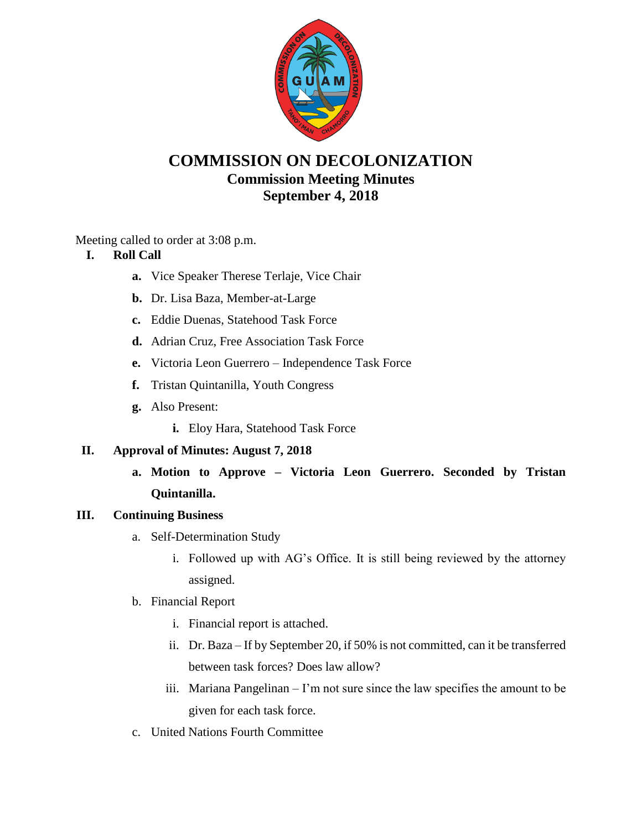

# **COMMISSION ON DECOLONIZATION Commission Meeting Minutes September 4, 2018**

Meeting called to order at 3:08 p.m.

# **I. Roll Call**

- **a.** Vice Speaker Therese Terlaje, Vice Chair
- **b.** Dr. Lisa Baza, Member-at-Large
- **c.** Eddie Duenas, Statehood Task Force
- **d.** Adrian Cruz, Free Association Task Force
- **e.** Victoria Leon Guerrero Independence Task Force
- **f.** Tristan Quintanilla, Youth Congress
- **g.** Also Present:
	- **i.** Eloy Hara, Statehood Task Force

# **II. Approval of Minutes: August 7, 2018**

**a. Motion to Approve – Victoria Leon Guerrero. Seconded by Tristan Quintanilla.**

# **III. Continuing Business**

- a. Self-Determination Study
	- i. Followed up with AG's Office. It is still being reviewed by the attorney assigned.
- b. Financial Report
	- i. Financial report is attached.
	- ii. Dr. Baza If by September 20, if 50% is not committed, can it be transferred between task forces? Does law allow?
	- iii. Mariana Pangelinan I'm not sure since the law specifies the amount to be given for each task force.
- c. United Nations Fourth Committee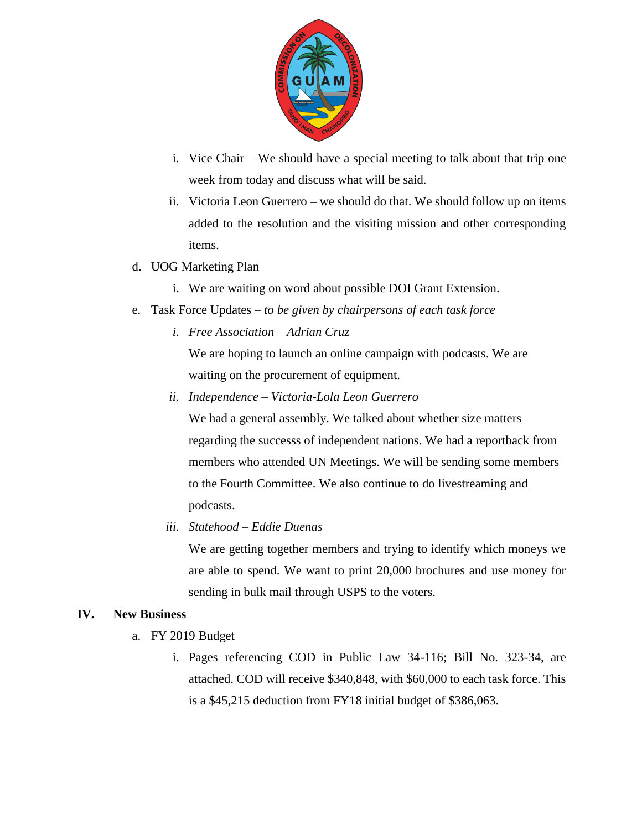

- i. Vice Chair We should have a special meeting to talk about that trip one week from today and discuss what will be said.
- ii. Victoria Leon Guerrero we should do that. We should follow up on items added to the resolution and the visiting mission and other corresponding items.
- d. UOG Marketing Plan
	- i. We are waiting on word about possible DOI Grant Extension.
- e. Task Force Updates *to be given by chairpersons of each task force*
	- *i. Free Association – Adrian Cruz*

We are hoping to launch an online campaign with podcasts. We are waiting on the procurement of equipment.

*ii. Independence – Victoria-Lola Leon Guerrero*

We had a general assembly. We talked about whether size matters regarding the successs of independent nations. We had a reportback from members who attended UN Meetings. We will be sending some members to the Fourth Committee. We also continue to do livestreaming and podcasts.

*iii. Statehood – Eddie Duenas*

We are getting together members and trying to identify which moneys we are able to spend. We want to print 20,000 brochures and use money for sending in bulk mail through USPS to the voters.

#### **IV. New Business**

- a. FY 2019 Budget
	- i. Pages referencing COD in Public Law 34-116; Bill No. 323-34, are attached. COD will receive \$340,848, with \$60,000 to each task force. This is a \$45,215 deduction from FY18 initial budget of \$386,063.